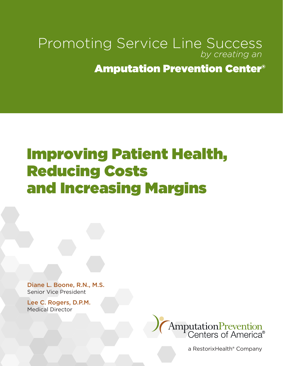#### Promoting Service Line Success *by creating an*

#### Amputation Prevention Center®

# Improving Patient Health, Reducing Costs and Increasing Margins

Diane L. Boone, R.N., M.S. Senior Vice President

Lee C. Rogers, D.P.M. Medical Director



a RestorixHealth® Company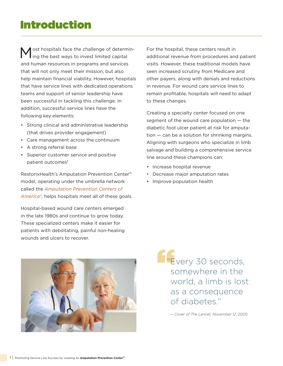#### Introduction

ost hospitals face the challenge of determining the best ways to invest limited capital and human resources in programs and services that will not only meet their mission, but also help maintain financial viability. However, hospitals that have service lines with dedicated operations teams and support of senior leadership have been successful in tackling this challenge. In addition, successful service lines have the following key elements:

- Strong clinical and administrative leadership (that drives provider engagement)
- Care management across the continuum
- A strong referral base
- Superior customer service and positive patient outcomes<sup>1</sup>

RestorixHealth's Amputation Prevention Center® model, operating under the umbrella network called the *Amputation Prevention Centers of America®,* helps hospitals meet all of these goals.

Hospital-based wound care centers emerged in the late 1980s and continue to grow today. These specialized centers make it easier for patients with debilitating, painful non-healing wounds and ulcers to recover.

For the hospital, these centers result in additional revenue from procedures and patient visits. However, these traditional models have seen increased scrutiny from Medicare and other payers, along with denials and reductions in revenue. For wound care service lines to remain profitable, hospitals will need to adapt to these changes.

Creating a specialty center focused on one segment of the wound care population — the diabetic foot ulcer patient at risk for amputation — can be a solution for shrinking margins. Aligning with surgeons who specialize in limb salvage and building a comprehensive service line around these champions can:

- Increase hospital revenue
- Decrease major amputation rates
- Improve population health



**E**very 30 seconds, somewhere in the world, a limb is lost as a consequence of diabetes."

*— Cover of The Lancet, November 12, 2005*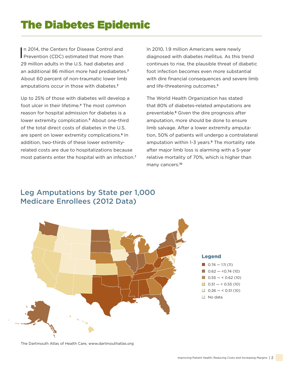## The Diabetes Epidemic

In 2014, the Centers for Disease Control and<br>Prevention (CDC) estimated that more than n 2014, the Centers for Disease Control and 29 million adults in the U.S. had diabetes and an additional 86 million more had prediabetes.<sup>2</sup> About 60 percent of non-traumatic lower limb amputations occur in those with diabetes.<sup>3</sup>

Up to 25% of those with diabetes will develop a foot ulcer in their lifetime.4 The most common reason for hospital admission for diabetes is a lower extremity complication.<sup>5</sup> About one-third of the total direct costs of diabetes in the U.S. are spent on lower extremity complications.<sup>6</sup> In addition, two-thirds of these lower extremityrelated costs are due to hospitalizations because most patients enter the hospital with an infection.<sup>7</sup>

In 2010, 1.9 million Americans were newly diagnosed with diabetes mellitus. As this trend continues to rise, the plausible threat of diabetic foot infection becomes even more substantial with dire financial consequences and severe limb and life-threatening outcomes.<sup>5</sup>

The World Health Organization has stated that 80% of diabetes-related amputations are preventable.8 Given the dire prognosis after amputation, more should be done to ensure limb salvage. After a lower extremity amputation, 50% of patients will undergo a contralateral amputation within 1-3 years.<sup>9</sup> The mortality rate after major limb loss is alarming with a 5-year relative mortality of 70%, which is higher than many cancers.<sup>10</sup>

#### Leg Amputations by State per 1,000 Medicare Enrollees (2012 Data)



The Dartmouth Atlas of Health Care, www.dartmouthatlas.org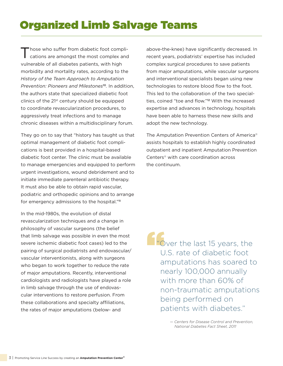# Organized Limb Salvage Teams

'hose who suffer from diabetic foot complications are amongst the most complex and vulnerable of all diabetes patients, with high morbidity and mortality rates, according to the *History of the Team Approach to Amputation Prevention: Pioneers and Milestones*10*.* In addition, the authors state that specialized diabetic foot clinics of the  $21<sup>st</sup>$  century should be equipped to coordinate revascularization procedures, to aggressively treat infections and to manage chronic diseases within a multidisciplinary forum.

They go on to say that "history has taught us that optimal management of diabetic foot complications is best provided in a hospital-based diabetic foot center. The clinic must be available to manage emergencies and equipped to perform urgent investigations, wound debridement and to initiate immediate parenteral antibiotic therapy. It must also be able to obtain rapid vascular, podiatric and orthopedic opinions and to arrange for emergency admissions to the hospital."<sup>11</sup>

In the mid-1980s, the evolution of distal revascularization techniques and a change in philosophy of vascular surgeons (the belief that limb salvage was possible in even the most severe ischemic diabetic foot cases) led to the pairing of surgical podiatrists and endovascular/ vascular interventionists, along with surgeons who began to work together to reduce the rate of major amputations. Recently, interventional cardiologists and radiologists have played a role in limb salvage through the use of endovascular interventions to restore perfusion. From these collaborations and specialty affiliations, the rates of major amputations (below- and

above-the-knee) have significantly decreased. In recent years, podiatrists' expertise has included complex surgical procedures to save patients from major amputations, while vascular surgeons and interventional specialists began using new technologies to restore blood flow to the foot. This led to the collaboration of the two specialties, coined "toe and flow."12 With the increased expertise and advances in technology, hospitals have been able to harness these new skills and adopt the new technology.

The Amputation Prevention Centers of America® assists hospitals to establish highly coordinated outpatient and inpatient Amputation Prevention Centers® with care coordination across the continuum.

**The Univer the last 15 years, the** U.S. rate of diabetic foot amputations has soared to nearly 100,000 annually with more than 60% of non-traumatic amputations being performed on patients with diabetes."

> *— Centers for Disease Control and Prevention, National Diabetes Fact Sheet, 2011*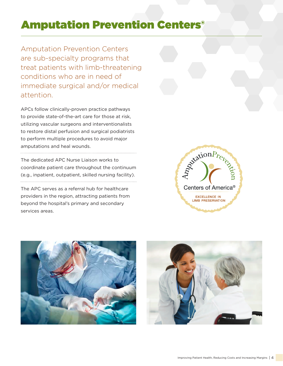### Amputation Prevention Centers®

Amputation Prevention Centers are sub-specialty programs that treat patients with limb-threatening conditions who are in need of immediate surgical and/or medical attention.

APCs follow clinically-proven practice pathways to provide state-of-the-art care for those at risk, utilizing vascular surgeons and interventionalists to restore distal perfusion and surgical podiatrists to perform multiple procedures to avoid major amputations and heal wounds.

The dedicated APC Nurse Liaison works to coordinate patient care throughout the continuum (e.g., inpatient, outpatient, skilled nursing facility). 

The APC serves as a referral hub for healthcare providers in the region, attracting patients from beyond the hospital's primary and secondary services areas.





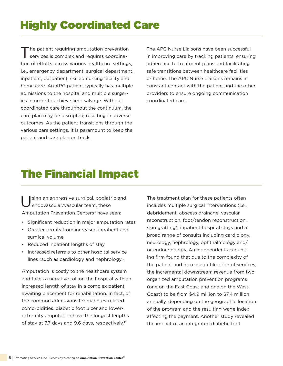# Highly Coordinated Care

Ine patient requiring amputation prevention services is complex and requires coordination of efforts across various healthcare settings, i.e., emergency department, surgical department, inpatient, outpatient, skilled nursing facility and home care. An APC patient typically has multiple admissions to the hospital and multiple surgeries in order to achieve limb salvage. Without coordinated care throughout the continuum, the care plan may be disrupted, resulting in adverse outcomes. As the patient transitions through the various care settings, it is paramount to keep the patient and care plan on track.

The APC Nurse Liaisons have been successful in improving care by tracking patients, ensuring adherence to treatment plans and facilitating safe transitions between healthcare facilities or home. The APC Nurse Liaisons remains in constant contact with the patient and the other providers to ensure ongoing communication coordinated care.

#### The Financial Impact

sing an aggressive surgical, podiatric and endovascular/vascular team, these Amputation Prevention Centers*®* have seen:

- Significant reduction in major amputation rates
- Greater profits from increased inpatient and surgical volume
- Reduced inpatient lengths of stay
- Increased referrals to other hospital service lines (such as cardiology and nephrology)

Amputation is costly to the healthcare system and takes a negative toll on the hospital with an increased length of stay in a complex patient awaiting placement for rehabilitation. In fact, of the common admissions for diabetes-related comorbidities, diabetic foot ulcer and lowerextremity amputation have the longest lengths of stay at 7.7 days and 9.6 days, respectively.<sup>13</sup>

The treatment plan for these patients often includes multiple surgical interventions (i.e., debridement, abscess drainage, vascular reconstruction, foot/tendon reconstruction, skin grafting), inpatient hospital stays and a broad range of consults including cardiology, neurology, nephrology, ophthalmology and/ or endocrinology. An independent accounting firm found that due to the complexity of the patient and increased utilization of services, the incremental downstream revenue from two organized amputation prevention programs (one on the East Coast and one on the West Coast) to be from \$4.9 million to \$7.4 million annually, depending on the geographic location of the program and the resulting wage index affecting the payment. Another study revealed the impact of an integrated diabetic foot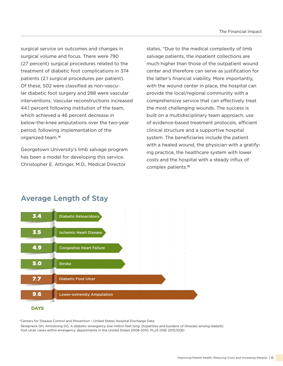surgical service on outcomes and changes in surgical volume and focus. There were 790 (27 percent) surgical procedures related to the treatment of diabetic foot complications in 374 patients (2.1 surgical procedures per patient). Of these, 502 were classified as non-vascular diabetic foot surgery and 288 were vascular interventions. Vascular reconstructions increased 44.1 percent following institution of the team, which achieved a 46 percent decrease in below-the-knee amputations over the two-year period, following implementation of the organized team.<sup>14</sup>

Georgetown University's limb salvage program has been a model for developing this service. Christopher E. Attinger, M.D., Medical Director

states, "Due to the medical complexity of limb salvage patients, the inpatient collections are much higher than those of the outpatient wound center and therefore can serve as justification for the latter's financial viability. More importantly, with the wound center in place, the hospital can provide the local/regional community with a comprehensive service that can effectively treat the most challenging wounds. The success is built on a multidisciplinary team approach, use of evidence-based treatment protocols, efficient clinical structure and a supportive hospital system. The beneficiaries include the patient with a healed wound, the physician with a gratifying practice, the healthcare system with lower costs and the hospital with a steady influx of complex patients.<sup>15</sup>



#### Average Length of Stay

\*Centers for Disease Control and Prevention - United States Hospital Discharge Data Skrepneck GH, Armstrong DG. A diabetic emergency one million feet long: Disparities and burdens of illnesses among diabetic foot ulcer cases within emergency departments in the United States 2006-2010. PLoS ONE 2015;10(8)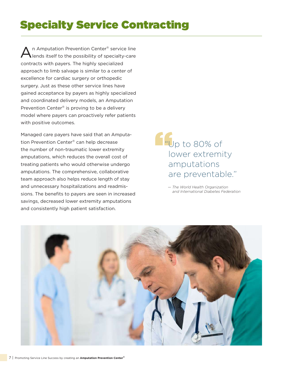# Specialty Service Contracting

An Amputation Prevention Center<sup>®</sup> service line<br>
lends itself to the possibility of specialty-care contracts with payers. The highly specialized approach to limb salvage is similar to a center of excellence for cardiac surgery or orthopedic surgery. Just as these other service lines have gained acceptance by payers as highly specialized and coordinated delivery models, an Amputation Prevention Center® is proving to be a delivery model where payers can proactively refer patients with positive outcomes.

Managed care payers have said that an Amputation Prevention Center® can help decrease the number of non-traumatic lower extremity amputations, which reduces the overall cost of treating patients who would otherwise undergo amputations. The comprehensive, collaborative team approach also helps reduce length of stay and unnecessary hospitalizations and readmissions. The benefits to payers are seen in increased savings, decreased lower extremity amputations and consistently high patient satisfaction.

 $\blacksquare$  Tup to 80% of lower extremity amputations are preventable."

> *— The World Health Organization and International Diabetes Federation*

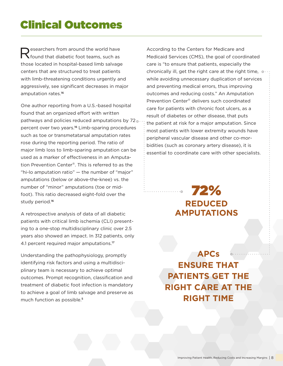#### Clinical Outcomes

Researchers from around the world have<br> **Researchers** foot teams, such as those located in hospital-based limb salvage centers that are structured to treat patients with limb-threatening conditions urgently and aggressively, see significant decreases in major amputation rates.<sup>16</sup>

One author reporting from a U.S.-based hospital found that an organized effort with written pathways and policies reduced amputations by 72. percent over two years.16 Limb-sparing procedures such as toe or transmetatarsal amputation rates rose during the reporting period. The ratio of major limb loss to limb-sparing amputation can be used as a marker of effectiveness in an Amputation Prevention Center®. This is referred to as the "hi-lo amputation ratio" — the number of "major" amputations (below or above-the-knee) vs. the number of "minor" amputations (toe or midfoot). This ratio decreased eight-fold over the study period.<sup>16</sup>

A retrospective analysis of data of all diabetic patients with critical limb ischemia (CLI) presenting to a one-stop multidisciplinary clinic over 2.5 years also showed an impact. In 312 patients, only 4.1 percent required major amputations.<sup>17</sup>

Understanding the pathophysiology, promptly identifying risk factors and using a multidisciplinary team is necessary to achieve optimal outcomes. Prompt recognition, classification and treatment of diabetic foot infection is mandatory to achieve a goal of limb salvage and preserve as much function as possible.<sup>5</sup>

According to the Centers for Medicare and Medicaid Services (CMS), the goal of coordinated care is "to ensure that patients, especially the chronically ill, get the right care at the right time,  $\circ \cdots$ while avoiding unnecessary duplication of services and preventing medical errors, thus improving outcomes and reducing costs." An Amputation Prevention Center® delivers such coordinated care for patients with chronic foot ulcers, as a result of diabetes or other disease, that puts the patient at risk for a major amputation. Since most patients with lower extremity wounds have peripheral vascular disease and other co-morbidities (such as coronary artery disease), it is essential to coordinate care with other specialists.

> 72% **REDUCED AMPUTATIONS**

**APCs ENSURE THAT PATIENTS GET THE RIGHT CARE AT THE RIGHT TIME**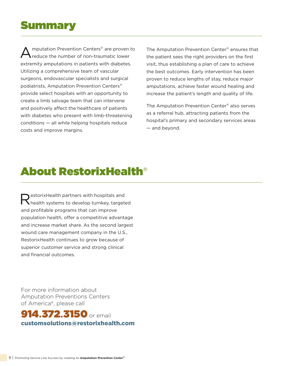#### Summary

mputation Prevention Centers<sup>®</sup> are proven to reduce the number of non-traumatic lower extremity amputations in patients with diabetes. Utilizing a comprehensive team of vascular surgeons, endovascular specialists and surgical podiatrists, Amputation Prevention Centers® provide select hospitals with an opportunity to create a limb salvage team that can intervene and positively affect the healthcare of patients with diabetes who present with limb-threatening conditions — all while helping hospitals reduce costs and improve margins.

The Amputation Prevention Center® ensures that the patient sees the right providers on the first visit, thus establishing a plan of care to achieve the best outcomes. Early intervention has been proven to reduce lengths of stay, reduce major amputations, achieve faster wound healing and increase the patient's length and quality of life.

The Amputation Prevention Center® also serves as a referral hub, attracting patients from the hospital's primary and secondary services areas — and beyond.

### About RestorixHealth®

estorixHealth partners with hospitals and health systems to develop turnkey, targeted and profitable programs that can improve population health, offer a competitive advantage and increase market share. As the second largest wound care management company in the U.S., RestorixHealth continues to grow because of superior customer service and strong clinical and financial outcomes.

For more information about Amputation Preventions Centers of America®, please call

**914.372.3150** or email customsolutions@restorixhealth.com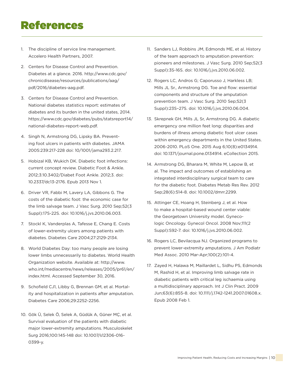#### References

- 1. The discipline of service line management. Accelero Health Partners, 2007.
- 2. Centers for Disease Control and Prevention. Diabetes at a glance. 2016. http://www.cdc.gov/ chronicdisease/resources/publications/aag/ pdf/2016/diabetes-aag.pdf.
- 3. Centers for Disease Control and Prevention. National diabetes statistics report: estimates of diabetes and its burden in the united states, 2014. https://www.cdc.gov/diabetes/pubs/statsreport14/ national-diabetes-report-web.pdf.
- 4. Singh N, Armstrong DG, Lipsky BA. Preventing foot ulcers in patients with diabetes. JAMA 2005:239:217-228 doi: 10/1001/jama293.2.217.
- 5. Hobizal KB, Wukich DK. Diabetic foot infections: current concept review. Diabetic Foot & Ankle. 2012;3:10.3402/Diabet Foot Ankle. 2012;3. doi: 10.2337/dc13-2176. Epub 2013 Nov 1.
- 6. Driver VR, Fabbi M, Lavery LA, Gibbons G. The costs of the diabetic foot: the economic case for the limb salvage team. J Vasc Surg. 2010 Sep;52(3 Suppl):17S-22S. doi: 10.1016/j.jvs.2010.06.003.
- 7. Stockl K, Vanderplas A, Tafesse E, Chang E. Costs of lower-extremity ulcers among patients with diabetes. Diabetes Care 2004;27:2129-2134.
- 8. World Diabetes Day: too many people are losing lower limbs unnecessarily to diabetes. World Health Organization website. Available at: http://www. who.int/mediacentre/news/releases/2005/pr61/en/ index.html. Accessed September 30, 2016.
- 9. Schofield CJ1, Libby G, Brennan GM, et al. Mortality and hospitalization in patients after amputation. Diabetes Care 2006;29:2252-2256.
- 10. Gök Ü, Selek Ö, Selek A, Güdük A, Güner MÇ, et al. Survival evaluation of the patients with diabetic major lower-extremity amputations. Musculoskelet Surg 2016;100:145-148 doi: 10.1007/s12306-016- 0399-y.
- 11. Sanders LJ, Robbins JM, Edmonds ME, et al. History of the team approach to amputation prevention: pioneers and milestones. J Vasc Surg. 2010 Sep;52(3 Suppl):3S-16S. doi: 10.1016/j.jvs.2010.06.002.
- 12. Rogers LC, Andros G; Caporusso J, Harkless LB; Mills JL Sr., Armstrong DG. Toe and flow: essential components and structure of the amputation prevention team. J Vasc Surg. 2010 Sep;52(3 Suppl):23S–27S. doi: 10.1016/j.jvs.2010.06.004.
- 13. Skrepnek GH, Mills JL Sr, Armstrong DG. A diabetic emergency one million feet long: disparities and burdens of illness among diabetic foot ulcer cases within emergency departments in the United States. 2006-2010. PLoS One. 2015 Aug 6;10(8):e0134914. doi: 10.1371/journal.pone.0134914. eCollection 2015.
- 14. Armstrong DG, Bharara M, White M, Lepow B, et al. The impact and outcomes of establishing an integrated interdisciplinary surgical team to care for the diabetic foot. Diabetes Metab Res Rev. 2012 Sep;28(6):514-8. doi: 10.1002/dmrr.2299.
- 15. Attinger CE, Hoang H, Steinberg J, et al. How to make a hospital-based wound center viable: the Georgetown University model. Gynecologic Oncology. Gynecol Oncol. 2008 Nov;111(2 Suppl):S92-7. doi: 10.1016/j.jvs.2010.06.002.
- 16. Rogers LC, Bevilacqua NJ. Organized programs to prevent lower-extremity amputations. J Am Podiatr Med Assoc. 2010 Mar-Apr;100(2):101-4.
- 17. Zayed H, Halawa M, Maillardet L, Sidhu PS, Edmonds M, Rashid H, et al. Improving limb salvage rate in diabetic patients with critical leg ischaemia using a multidisciplinary approach. Int J Clin Pract. 2009 Jun;63(6):855-8. doi: 10.1111/j.1742-1241.2007.01608.x. Epub 2008 Feb 1.